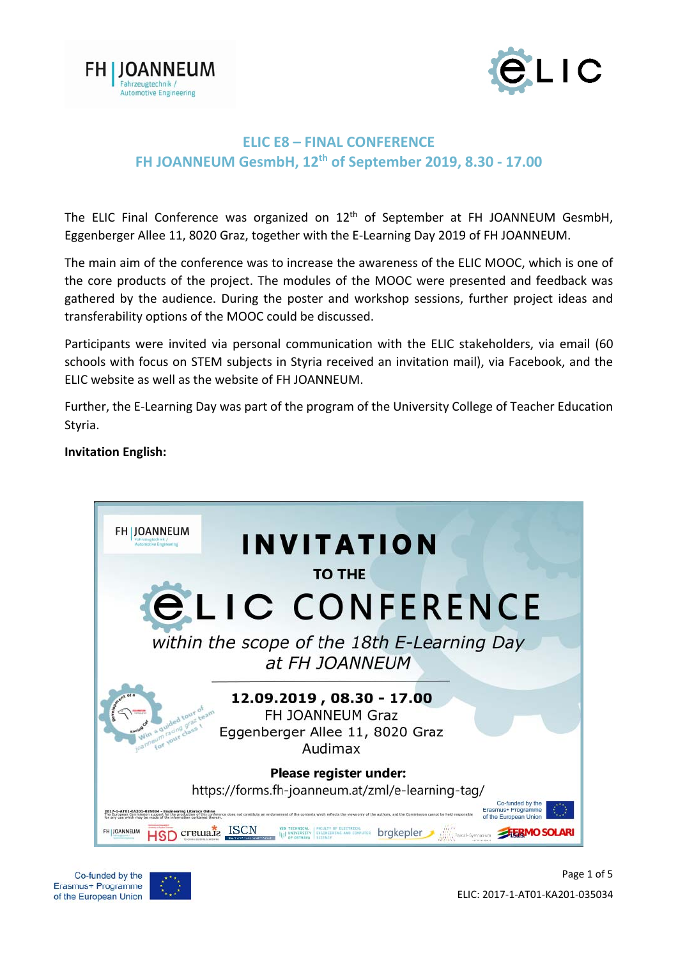



# **ELIC E8 – FINAL CONFERENCE FH JOANNEUM GesmbH, 12th of September 2019, 8.30 ‐ 17.00**

The ELIC Final Conference was organized on 12<sup>th</sup> of September at FH JOANNEUM GesmbH, Eggenberger Allee 11, 8020 Graz, together with the E‐Learning Day 2019 of FH JOANNEUM.

The main aim of the conference was to increase the awareness of the ELIC MOOC, which is one of the core products of the project. The modules of the MOOC were presented and feedback was gathered by the audience. During the poster and workshop sessions, further project ideas and transferability options of the MOOC could be discussed.

Participants were invited via personal communication with the ELIC stakeholders, via email (60 schools with focus on STEM subjects in Styria received an invitation mail), via Facebook, and the ELIC website as well as the website of FH JOANNEUM.

Further, the E‐Learning Day was part of the program of the University College of Teacher Education Styria.

## **Invitation English:**





Page 1 of 5 ELIC: 2017‐1‐AT01‐KA201‐035034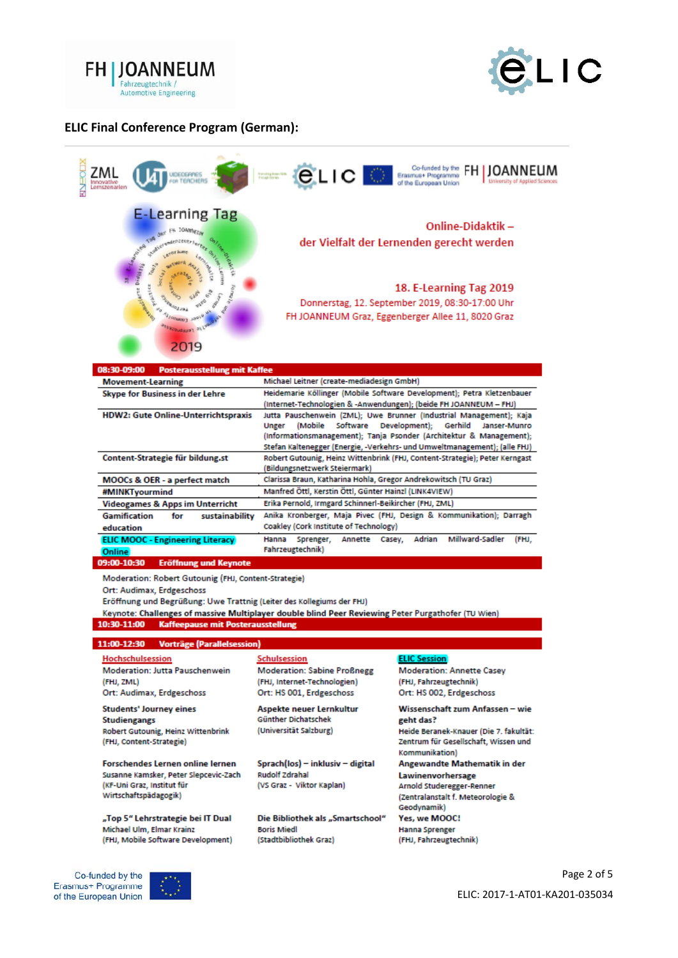



## **ELIC Final Conference Program (German):**



09:00-10:30 **Eröffnung und Keynote** 

Moderation: Robert Gutounig (FHJ, Content-Strategie)

Ort: Audimax, Erdgeschoss

Eröffnung und Begrüßung: Uwe Trattnig (Leiter des Kollegiums der FHJ)

Keynote: Challenges of massive Multiplayer double blind Peer Reviewing Peter Purgathofer (TU Wien)

#### 10:30-11:00 **Kaffeepause mit Posterausstellung** 11:00-12:30 Vorträge (Parallelsession) Hochschulsession Schulsession **ELIC Session Moderation: Jutta Pauschenwein Moderation: Sabine ProBnegg Moderation: Annette Casey** (FHJ, ZML) (FHJ, Internet-Technologien) (FHJ, Fahrzeugtechnik) Ort: Audimax, Erdgeschoss Ort: HS 001, Erdgeschoss Ort: HS 002, Erdgeschoss **Students' Journey eines** Aspekte neuer Lernkultur Wissenschaft zum Anfassen - wie **Günther Dichatschek Studiengangs** geht das? (Universität Salzburg) **Robert Gutounig, Heinz Wittenbrink** (FHJ, Content-Strategie) Zentrum für Gesellschaft, Wissen und Kommunikation) Sprach(los) - inklusiv - digital Angewandte Mathematik in der Forschendes Lernen online lernen Susanne Kamsker, Peter Slepcevic-Zach **Rudolf Zdrahal** Lawinenvorhersage (KF-Uni Graz, Institut für (VS Graz - Viktor Kaplan) Arnold Studeregger-Renner Wirtschaftspädagogik) (Zentralanstalt f. Meteorologie & Geodynamik) "Top 5" Lehrstrategie bei IT Dual Die Bibliothek als "Smartschool" Yes, we MOOC! Michael Ulm, Elmar Krainz **Boris Miedl Hanna Sprenger** (FHJ, Mobile Software Development) (Stadtbibliothek Graz)

Heide Beranek-Knauer (Die 7. fakultät:

(FHJ, Fahrzeugtechnik)

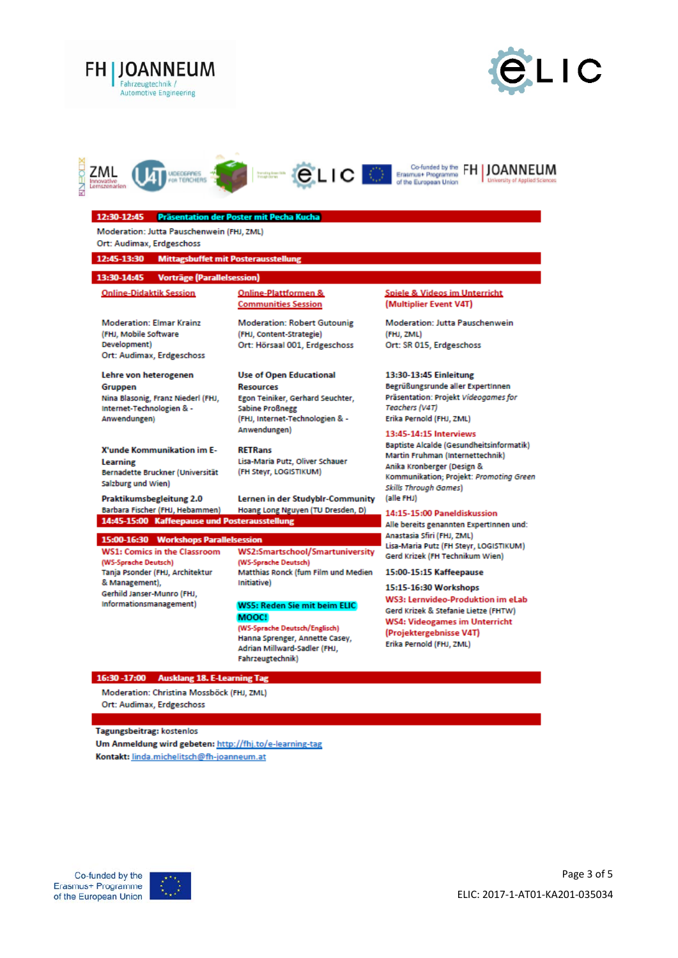







Moderation: Jutta Pauschenwein (FHJ, ZML) Ort: Audimax, Erdgeschoss

## 12:45-13:30 Mittagsbuffet mit P

### 13:30-14:45 Vorträge (Parallels

**Online-Didaktik Session** 

**Moderation: Elmar Krainz** (FHJ, Mobile Software Development) Ort: Audimax, Erdgeschoss

Lehre von heterogenen Gruppen Nina Blasonig, Franz Niederl (FHJ, Internet-Technologien & -Anwendungen)

#### X'unde Kommunikation im E-Learning Bernadette Bruckner (Universität Salzburg und Wien)

Praktikumsbegleitung 2.0 Barbara Fischer (FHJ, Hebammen) 14:45-15:00 Kaffeepause und Posterausste

#### 15:00-16:30 Workshops Parallels

**WS1: Comics in the Classroom** (WS-Sprache Deutsch) Tanja Psonder (FHJ, Architektur & Management), Gerhild Janser-Munro (FHJ, Informationsmanagement)

**Online-Plattformen & Communities Session** 

**Moderation: Robert Gutounig** (FHJ, Content-Strategie) Ort: Hörsaal 001, Erdgeschoss

**Use of Open Educational Resources** Egon Teiniker, Gerhard Seuchter, Sabine Proßnegg (FHJ, Internet-Technologien & -Anwendungen)

**RETRans** Lisa-Maria Putz, Oliver Schauer (FH Steyr, LOGISTIKUM)

Lernen in der Studyblr-Community Hoang Long Nguyen (TU Dresden, D)

**WS2:Smartschool/Smartuniversity** (WS-Sprache Deutsch) Matthias Ronck (fum Film und Medien **Initiativel** 

#### **WS5: Reden Sie mit beim ELIC** MOOC!

(WS-Sprache Deutsch/Englisch) Hanna Sprenger, Annette Casey, Adrian Millward-Sadler (FHJ, Fahrzeugtechnik)

#### Spiele & Videos im Unterricht (Multiplier Event V4T)

Moderation: Jutta Pauschenwein (FHJ, ZML) Ort: SR 015, Erdgeschoss

#### 13:30-13:45 Einleitung

Begrüßungsrunde aller Expertinnen Präsentation: Projekt Videogames for Teachers (V4T) Erika Pernold (FHJ, ZML)

### 13:45-14:15 Interviews

**Baptiste Alcalde (Gesundheitsinformatik)** Martin Fruhman (Internettechnik) Anika Kronberger (Design & Kommunikation; Projekt: Promoting Green Skills Through Games) (alle FHJ)

#### 14:15-15:00 Paneldiskussion

Alle bereits genannten Expertinnen und: Anastasia Sfiri (FHJ, ZML) Lisa-Maria Putz (FH Steyr, LOGISTIKUM) Gerd Krizek (FH Technikum Wien)

15:00-15:15 Kaffeepause

### 15:15-16:30 Workshops

WS3: Lernvideo-Produktion im eLab Gerd Krizek & Stefanie Lietze (FHTW) **WS4: Videogames im Unterricht** (Projektergebnisse V4T) Erika Pernold (FHJ, ZML)

## 16:30 -17:00 Ausklang 18. E-Learning Tag

Moderation: Christina Mossböck (FHJ, ZML) Ort: Audimax, Erdgeschoss

Tagungsbeitrag: kostenlos

Um Anmeldung wird gebeten: http://fhj.to/e-learning-tag Kontakt: linda.michelitsch@fh-joanneum.at

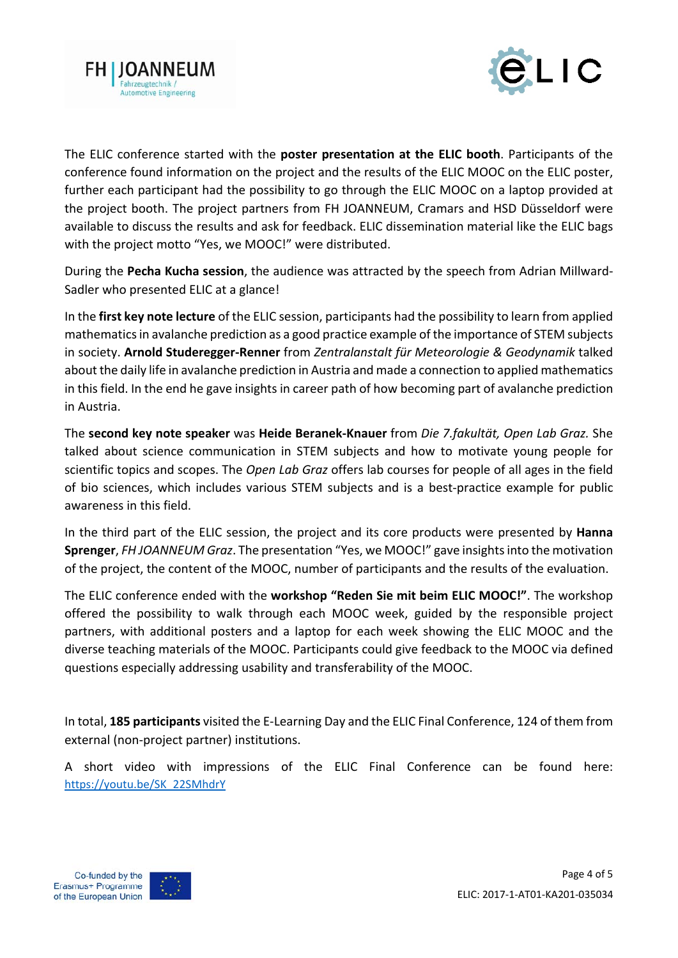



The ELIC conference started with the **poster presentation at the ELIC booth**. Participants of the conference found information on the project and the results of the ELIC MOOC on the ELIC poster, further each participant had the possibility to go through the ELIC MOOC on a laptop provided at the project booth. The project partners from FH JOANNEUM, Cramars and HSD Düsseldorf were available to discuss the results and ask for feedback. ELIC dissemination material like the ELIC bags with the project motto "Yes, we MOOC!" were distributed.

During the **Pecha Kucha session**, the audience was attracted by the speech from Adrian Millward‐ Sadler who presented ELIC at a glance!

In the **first key note lecture** of the ELIC session, participants had the possibility to learn from applied mathematics in avalanche prediction as a good practice example of the importance of STEM subjects in society. **Arnold Studeregger‐Renner** from *Zentralanstalt für Meteorologie & Geodynamik* talked about the daily life in avalanche prediction in Austria and made a connection to applied mathematics in this field. In the end he gave insights in career path of how becoming part of avalanche prediction in Austria.

The **second key note speaker** was **Heide Beranek‐Knauer** from *Die 7.fakultät, Open Lab Graz.* She talked about science communication in STEM subjects and how to motivate young people for scientific topics and scopes. The *Open Lab Graz* offers lab courses for people of all ages in the field of bio sciences, which includes various STEM subjects and is a best‐practice example for public awareness in this field.

In the third part of the ELIC session, the project and its core products were presented by **Hanna Sprenger**, *FH JOANNEUM Graz*. The presentation "Yes, we MOOC!" gave insights into the motivation of the project, the content of the MOOC, number of participants and the results of the evaluation.

The ELIC conference ended with the **workshop "Reden Sie mit beim ELIC MOOC!"**. The workshop offered the possibility to walk through each MOOC week, guided by the responsible project partners, with additional posters and a laptop for each week showing the ELIC MOOC and the diverse teaching materials of the MOOC. Participants could give feedback to the MOOC via defined questions especially addressing usability and transferability of the MOOC.

In total, **185 participants** visited the E‐Learning Day and the ELIC Final Conference, 124 of them from external (non‐project partner) institutions.

A short video with impressions of the ELIC Final Conference can be found here: https://youtu.be/SK\_22SMhdrY